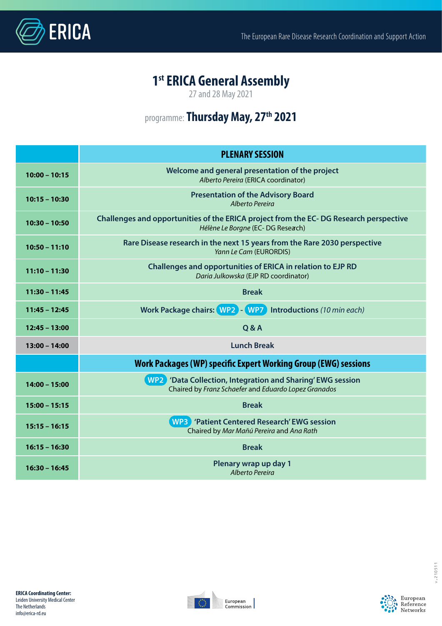

## **1st ERICA General Assembly**

27 and 28 May 2021

## programme: **Thursday May, 27th 2021**

|                 | <b>PLENARY SESSION</b>                                                                                                    |
|-----------------|---------------------------------------------------------------------------------------------------------------------------|
| $10:00 - 10:15$ | Welcome and general presentation of the project<br>Alberto Pereira (ERICA coordinator)                                    |
| $10:15 - 10:30$ | <b>Presentation of the Advisory Board</b><br>Alberto Pereira                                                              |
| $10:30 - 10:50$ | Challenges and opportunities of the ERICA project from the EC-DG Research perspective<br>Hélène Le Borgne (EC-DG Reseach) |
| $10:50 - 11:10$ | Rare Disease research in the next 15 years from the Rare 2030 perspective<br>Yann Le Cam (EURORDIS)                       |
| $11:10 - 11:30$ | Challenges and opportunities of ERICA in relation to EJP RD<br>Daria Julkowska (EJP RD coordinator)                       |
| $11:30 - 11:45$ | <b>Break</b>                                                                                                              |
| $11:45 - 12:45$ | Work Package chairs: WP2 - WP7<br>Introductions (10 min each)                                                             |
| $12:45 - 13:00$ | Q & A                                                                                                                     |
| $13:00 - 14:00$ | <b>Lunch Break</b>                                                                                                        |
|                 | Work Packages (WP) specific Expert Working Group (EWG) sessions                                                           |
| $14:00 - 15:00$ | WP2 'Data Collection, Integration and Sharing' EWG session<br>Chaired by Franz Schaefer and Eduardo Lopez Granados        |
| $15:00 - 15:15$ | <b>Break</b>                                                                                                              |
| $15:15 - 16:15$ | WP3 'Patient Centered Research' EWG session<br>Chaired by Mar Mañú Pereira and Ana Rath                                   |
| $16:15 - 16:30$ | <b>Break</b>                                                                                                              |
| $16:30 - 16:45$ | Plenary wrap up day 1<br>Alberto Pereira                                                                                  |